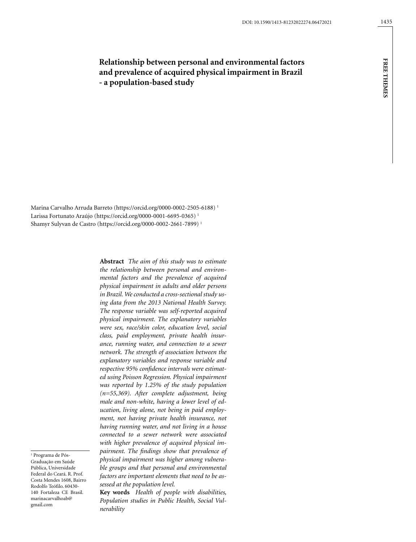**free themes**

**FREE THEMES** 

# **Relationship between personal and environmental factors and prevalence of acquired physical impairment in Brazil - a population-based study**

Marina Carvalho Arruda Barreto (https://orcid.org/0000-0002-2505-6188) 1 Larissa Fortunato Araújo (https://orcid.org/0000-0001-6695-0365) 1 Shamyr Sulyvan de Castro (https://orcid.org/0000-0002-2661-7899) 1

> **Abstract** *The aim of this study was to estimate the relationship between personal and environmental factors and the prevalence of acquired physical impairment in adults and older persons in Brazil. We conducted a cross-sectional study using data from the 2013 National Health Survey. The response variable was self-reported acquired physical impairment. The explanatory variables were sex, race/skin color, education level, social class, paid employment, private health insurance, running water, and connection to a sewer network. The strength of association between the explanatory variables and response variable and respective 95% confidence intervals were estimated using Poisson Regression. Physical impairment was reported by 1.25% of the study population (n=55,369). After complete adjustment, being male and non-white, having a lower level of education, living alone, not being in paid employment, not having private health insurance, not having running water, and not living in a house connected to a sewer network were associated with higher prevalence of acquired physical impairment. The findings show that prevalence of physical impairment was higher among vulnerable groups and that personal and environmental factors are important elements that need to be assessed at the population level.*

**Key words** *Health of people with disabilities, Population studies in Public Health, Social Vulnerability*

<sup>1</sup> Programa de Pós-Graduação em Saúde Pública, Universidade Federal do Ceará. R. Prof. Costa Mendes 1608, Bairro Rodolfo Teófilo. 60430- 140 Fortaleza CE Brasil. marinacarvalhoab@ gmail.com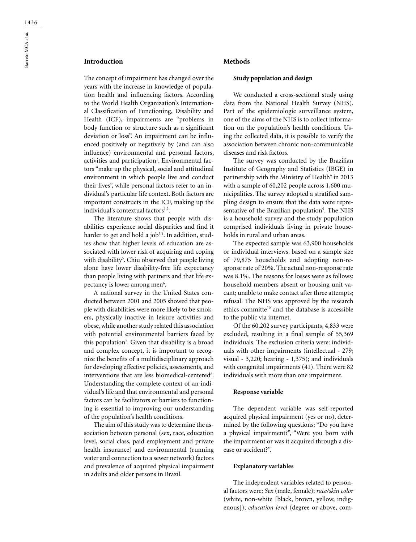# **Introduction**

The concept of impairment has changed over the years with the increase in knowledge of population health and influencing factors. According to the World Health Organization's International Classification of Functioning, Disability and Health (ICF), impairments are "problems in body function or structure such as a significant deviation or loss". An impairment can be influenced positively or negatively by (and can also influence) environmental and personal factors, activities and participation<sup>1</sup>. Environmental factors "make up the physical, social and attitudinal environment in which people live and conduct their lives", while personal factors refer to an individual's particular life context. Both factors are important constructs in the ICF, making up the individual's contextual factors<sup>1,2</sup>.

The literature shows that people with disabilities experience social disparities and find it harder to get and hold a job<sup>3,4</sup>. In addition, studies show that higher levels of education are associated with lower risk of acquiring and coping with disability5 . Chiu observed that people living alone have lower disability-free life expectancy than people living with partners and that life expectancy is lower among men<sup>6</sup>.

A national survey in the United States conducted between 2001 and 2005 showed that people with disabilities were more likely to be smokers, physically inactive in leisure activities and obese, while another study related this association with potential environmental barriers faced by this population7 . Given that disability is a broad and complex concept, it is important to recognize the benefits of a multidisciplinary approach for developing effective policies, assessments, and interventions that are less biomedical-centered<sup>8</sup>. Understanding the complete context of an individual's life and that environmental and personal factors can be facilitators or barriers to functioning is essential to improving our understanding of the population's health conditions.

The aim of this study was to determine the association between personal (sex, race, education level, social class, paid employment and private health insurance) and environmental (running water and connection to a sewer network) factors and prevalence of acquired physical impairment in adults and older persons in Brazil.

# **Methods**

#### **Study population and design**

We conducted a cross-sectional study using data from the National Health Survey (NHS). Part of the epidemiologic surveillance system, one of the aims of the NHS is to collect information on the population's health conditions. Using the collected data, it is possible to verify the association between chronic non-communicable diseases and risk factors.

The survey was conducted by the Brazilian Institute of Geography and Statistics (IBGE) in partnership with the Ministry of Health<sup>9</sup> in 2013 with a sample of 60,202 people across 1,600 municipalities. The survey adopted a stratified sampling design to ensure that the data were representative of the Brazilian population<sup>9</sup>. The NHS is a household survey and the study population comprised individuals living in private households in rural and urban areas.

The expected sample was 63,900 households or individual interviews, based on a sample size of 79,875 households and adopting non-response rate of 20%. The actual non-response rate was 8.1%. The reasons for losses were as follows: household members absent or housing unit vacant; unable to make contact after three attempts; refusal. The NHS was approved by the research ethics committe<sup>10</sup> and the database is accessible to the public via internet.

Of the 60,202 survey participants, 4,833 were excluded, resulting in a final sample of 55,369 individuals. The exclusion criteria were: individuals with other impairments (intellectual - 279; visual - 3,220; hearing - 1,375); and individuals with congenital impairments (41). There were 82 individuals with more than one impairment.

#### **Response variable**

The dependent variable was self-reported acquired physical impairment (yes or no), determined by the following questions: "Do you have a physical impairment?", "Were you born with the impairment or was it acquired through a disease or accident?".

### **Explanatory variables**

The independent variables related to personal factors were: *Sex* (male, female); *race/skin color* (white, non-white [black, brown, yellow, indigenous]); *education level* (degree or above, com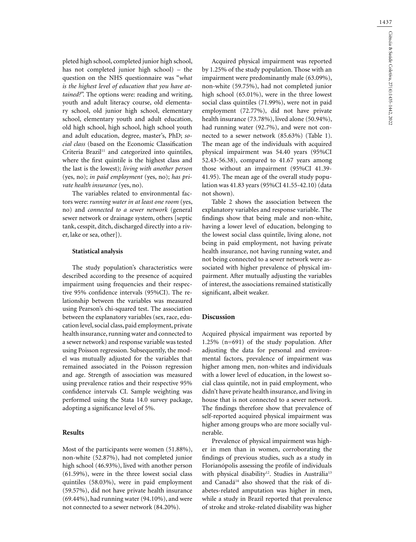pleted high school, completed junior high school, has not completed junior high school) – the question on the NHS questionnaire was "*what is the highest level of education that you have attained?*". The options were: reading and writing, youth and adult literacy course, old elementary school, old junior high school, elementary school, elementary youth and adult education, old high school, high school, high school youth and adult education, degree, master's, PhD; *social class* (based on the Economic Classification Criteria Brazil $11$  and categorized into quintiles, where the first quintile is the highest class and the last is the lowest); *living with another person* (yes, no); *in paid employment* (yes, no); *has private health insurance* (yes, no).

The variables related to environmental factors were: *running water in at least one room* (yes, no) and *connected to a sewer network* (general sewer network or drainage system, others [septic tank, cesspit, ditch, discharged directly into a river, lake or sea, other]).

## **Statistical analysis**

The study population's characteristics were described according to the presence of acquired impairment using frequencies and their respective 95% confidence intervals (95%CI). The relationship between the variables was measured using Pearson's chi-squared test. The association between the explanatory variables (sex, race, education level, social class, paid employment, private health insurance, running water and connected to a sewer network) and response variable was tested using Poisson regression. Subsequently, the model was mutually adjusted for the variables that remained associated in the Poisson regression and age. Strength of association was measured using prevalence ratios and their respective 95% confidence intervals CI. Sample weighting was performed using the Stata 14.0 survey package, adopting a significance level of 5%.

# **Results**

Most of the participants were women (51.88%), non-white (52.87%), had not completed junior high school (46.93%), lived with another person (61.59%), were in the three lowest social class quintiles (58.03%), were in paid employment (59.57%), did not have private health insurance (69.44%), had running water (94.10%), and were not connected to a sewer network (84.20%).

Acquired physical impairment was reported by 1.25% of the study population. Those with an impairment were predominantly male (63.09%), non-white (59.75%), had not completed junior high school (65.01%), were in the three lowest social class quintiles (71.99%), were not in paid employment (72.77%), did not have private health insurance (73.78%), lived alone (50.94%), had running water (92.7%), and were not connected to a sewer network (85.63%) (Table 1). The mean age of the individuals with acquired physical impairment was 54.40 years (95%CI 52.43-56.38), compared to 41.67 years among those without an impairment (95%CI 41.39- 41.95). The mean age of the overall study population was 41.83 years (95%CI 41.55-42.10) (data not shown).

Table 2 shows the association between the explanatory variables and response variable. The findings show that being male and non-white, having a lower level of education, belonging to the lowest social class quintile, living alone, not being in paid employment, not having private health insurance, not having running water, and not being connected to a sewer network were associated with higher prevalence of physical impairment. After mutually adjusting the variables of interest, the associations remained statistically significant, albeit weaker.

### **Discussion**

Acquired physical impairment was reported by 1.25% (n=691) of the study population. After adjusting the data for personal and environmental factors, prevalence of impairment was higher among men, non-whites and individuals with a lower level of education, in the lowest social class quintile, not in paid employment, who didn't have private health insurance, and living in house that is not connected to a sewer network. The findings therefore show that prevalence of self-reported acquired physical impairment was higher among groups who are more socially vulnerable.

Prevalence of physical impairment was higher in men than in women, corroborating the findings of previous studies, such as a study in Florianópolis assessing the profile of individuals with physical disability<sup>12</sup>. Studies in Austrália<sup>13</sup> and Canadá<sup>14</sup> also showed that the risk of diabetes-related amputation was higher in men, while a study in Brazil reported that prevalence of stroke and stroke-related disability was higher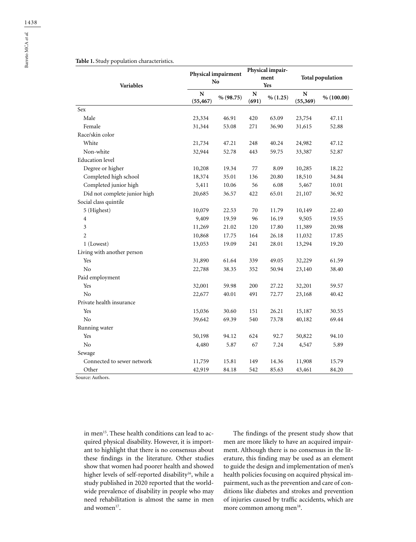### **Table 1.** Study population characteristics.

|                              | Physical impairment<br>No |           | Physical impair-<br>ment<br>Yes |          |                         |            |
|------------------------------|---------------------------|-----------|---------------------------------|----------|-------------------------|------------|
| Variables                    |                           |           |                                 |          | <b>Total population</b> |            |
|                              | N<br>(55, 467)            | % (98.75) | N<br>(691)                      | % (1.25) | N<br>(55, 369)          | % (100.00) |
| Sex                          |                           |           |                                 |          |                         |            |
| Male                         | 23,334                    | 46.91     | 420                             | 63.09    | 23,754                  | 47.11      |
| Female                       | 31,344                    | 53.08     | 271                             | 36.90    | 31,615                  | 52.88      |
| Race/skin color              |                           |           |                                 |          |                         |            |
| White                        | 21,734                    | 47.21     | 248                             | 40.24    | 24,982                  | 47.12      |
| Non-white                    | 32,944                    | 52.78     | 443                             | 59.75    | 33,387                  | 52.87      |
| <b>Education</b> level       |                           |           |                                 |          |                         |            |
| Degree or higher             | 10,208                    | 19.34     | 77                              | 8.09     | 10,285                  | 18.22      |
| Completed high school        | 18,374                    | 35.01     | 136                             | 20.80    | 18,510                  | 34.84      |
| Completed junior high        | 5,411                     | 10.06     | 56                              | 6.08     | 5,467                   | 10.01      |
| Did not complete junior high | 20,685                    | 36.57     | 422                             | 65.01    | 21,107                  | 36.92      |
| Social class quintile        |                           |           |                                 |          |                         |            |
| 5 (Highest)                  | 10,079                    | 22.53     | 70                              | 11.79    | 10,149                  | 22.40      |
| 4                            | 9,409                     | 19.59     | 96                              | 16.19    | 9,505                   | 19.55      |
| 3                            | 11,269                    | 21.02     | 120                             | 17.80    | 11,389                  | 20.98      |
| 2                            | 10,868                    | 17.75     | 164                             | 26.18    | 11,032                  | 17.85      |
| 1 (Lowest)                   | 13,053                    | 19.09     | 241                             | 28.01    | 13,294                  | 19.20      |
| Living with another person   |                           |           |                                 |          |                         |            |
| Yes                          | 31,890                    | 61.64     | 339                             | 49.05    | 32,229                  | 61.59      |
| No                           | 22,788                    | 38.35     | 352                             | 50.94    | 23,140                  | 38.40      |
| Paid employment              |                           |           |                                 |          |                         |            |
| Yes                          | 32,001                    | 59.98     | 200                             | 27.22    | 32,201                  | 59.57      |
| No                           | 22,677                    | 40.01     | 491                             | 72.77    | 23,168                  | 40.42      |
| Private health insurance     |                           |           |                                 |          |                         |            |
| Yes                          | 15,036                    | 30.60     | 151                             | 26.21    | 15,187                  | 30.55      |
| N <sub>o</sub>               | 39,642                    | 69.39     | 540                             | 73.78    | 40,182                  | 69.44      |
| Running water                |                           |           |                                 |          |                         |            |
| Yes                          | 50,198                    | 94.12     | 624                             | 92.7     | 50,822                  | 94.10      |
| N <sub>0</sub>               | 4,480                     | 5.87      | 67                              | 7.24     | 4,547                   | 5.89       |
| Sewage                       |                           |           |                                 |          |                         |            |
| Connected to sewer network   | 11,759                    | 15.81     | 149                             | 14.36    | 11,908                  | 15.79      |
| Other                        | 42,919                    | 84.18     | 542                             | 85.63    | 43,461                  | 84.20      |
| Source: Authors.             |                           |           |                                 |          |                         |            |

in men<sup>15</sup>. These health conditions can lead to acquired physical disability. However, it is important to highlight that there is no consensus about these findings in the literature. Other studies show that women had poorer health and showed higher levels of self-reported disability<sup>16</sup>, while a study published in 2020 reported that the worldwide prevalence of disability in people who may need rehabilitation is almost the same in men and women<sup>17</sup>.

The findings of the present study show that men are more likely to have an acquired impairment. Although there is no consensus in the literature, this finding may be used as an element to guide the design and implementation of men's health policies focusing on acquired physical impairment, such as the prevention and care of conditions like diabetes and strokes and prevention of injuries caused by traffic accidents, which are more common among men<sup>18</sup>.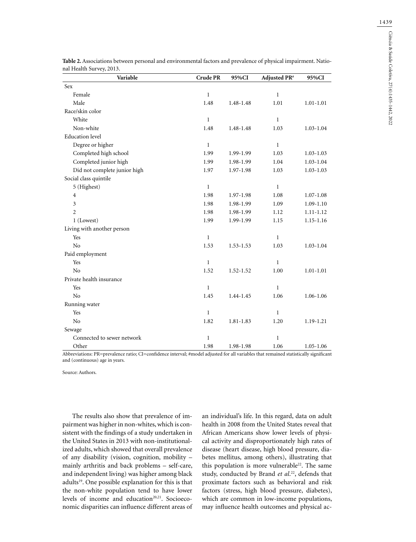| Variable                     | Crude PR     | 95%CI         | Adjusted PR <sup>#</sup> | 95%CI         |
|------------------------------|--------------|---------------|--------------------------|---------------|
| Sex                          |              |               |                          |               |
| Female                       | $\mathbf{1}$ |               | $\mathbf{1}$             |               |
| Male                         | 1.48         | 1.48-1.48     | 1.01                     | $1.01 - 1.01$ |
| Race/skin color              |              |               |                          |               |
| White                        | $\mathbf{1}$ |               | $\mathbf{1}$             |               |
| Non-white                    | 1.48         | 1.48-1.48     | 1.03                     | $1.03 - 1.04$ |
| <b>Education</b> level       |              |               |                          |               |
| Degree or higher             | $\mathbf{1}$ |               | $\mathbf{1}$             |               |
| Completed high school        | 1.99         | 1.99-1.99     | 1.03                     | $1.03 - 1.03$ |
| Completed junior high        | 1.99         | 1.98-1.99     | 1.04                     | $1.03 - 1.04$ |
| Did not complete junior high | 1.97         | 1.97-1.98     | 1.03                     | $1.03 - 1.03$ |
| Social class quintile        |              |               |                          |               |
| 5 (Highest)                  | $\mathbf{1}$ |               | $\mathbf{1}$             |               |
| 4                            | 1.98         | 1.97-1.98     | 1.08                     | $1.07 - 1.08$ |
| 3                            | 1.98         | 1.98-1.99     | 1.09                     | $1.09 - 1.10$ |
| $\overline{c}$               | 1.98         | 1.98-1.99     | 1.12                     | 1.11-1.12     |
| 1 (Lowest)                   | 1.99         | 1.99-1.99     | 1.15                     | $1.15 - 1.16$ |
| Living with another person   |              |               |                          |               |
| Yes                          | $\mathbf{1}$ |               | $\mathbf{1}$             |               |
| No                           | 1.53         | $1.53 - 1.53$ | 1.03                     | $1.03 - 1.04$ |
| Paid employment              |              |               |                          |               |
| Yes                          | $\mathbf{1}$ |               | 1                        |               |
| N <sub>o</sub>               | 1.52         | $1.52 - 1.52$ | 1.00                     | $1.01 - 1.01$ |
| Private health insurance     |              |               |                          |               |
| Yes                          | $\mathbf{1}$ |               | $\mathbf{1}$             |               |
| No                           | 1.45         | 1.44-1.45     | 1.06                     | 1.06-1.06     |
| Running water                |              |               |                          |               |
| Yes                          | $\mathbf{1}$ |               | $\mathbf{1}$             |               |
| $\rm No$                     | 1.82         | 1.81-1.83     | 1.20                     | 1.19-1.21     |
| Sewage                       |              |               |                          |               |
| Connected to sewer network   | $\mathbf{1}$ |               | $\mathbf{1}$             |               |
| Other                        | 1.98         | 1.98-1.98     | 1.06                     | $1.05 - 1.06$ |

**Table 2.** Associations between personal and environmental factors and prevalence of physical impairment. National Health Survey, 2013.

Abbreviations: PR=prevalence ratio; CI=confidence interval; #model adjusted for all variables that remained statistically significant and (continuous) age in years.

Source: Authors.

The results also show that prevalence of impairment was higher in non-whites, which is consistent with the findings of a study undertaken in the United States in 2013 with non-institutionalized adults, which showed that overall prevalence of any disability (vision, cognition, mobility – mainly arthritis and back problems – self-care, and independent living) was higher among black adults19. One possible explanation for this is that the non-white population tend to have lower levels of income and education<sup>20,21</sup>. Socioeconomic disparities can influence different areas of

an individual's life. In this regard, data on adult health in 2008 from the United States reveal that African Americans show lower levels of physical activity and disproportionately high rates of disease (heart disease, high blood pressure, diabetes mellitus, among others), illustrating that this population is more vulnerable<sup>22</sup>. The same study, conducted by Brand *et al.*<sup>22</sup>, defends that proximate factors such as behavioral and risk factors (stress, high blood pressure, diabetes), which are common in low-income populations, may influence health outcomes and physical ac-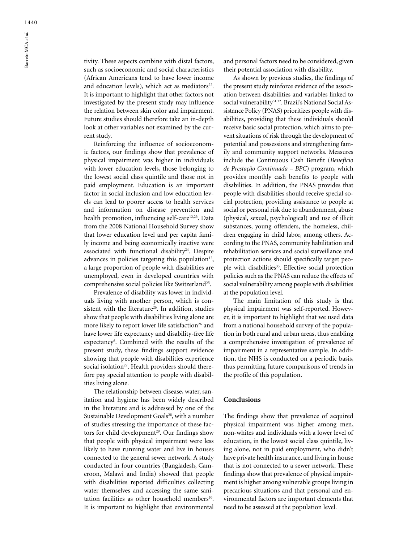tivity. These aspects combine with distal factors, such as socioeconomic and social characteristics (African Americans tend to have lower income and education levels), which act as mediators<sup>22</sup>. It is important to highlight that other factors not investigated by the present study may influence the relation between skin color and impairment. Future studies should therefore take an in-depth look at other variables not examined by the current study.

Reinforcing the influence of socioeconomic factors, our findings show that prevalence of physical impairment was higher in individuals with lower education levels, those belonging to the lowest social class quintile and those not in paid employment. Education is an important factor in social inclusion and low education levels can lead to poorer access to health services and information on disease prevention and health promotion, influencing self-care<sup>12,23</sup>. Data from the 2008 National Household Survey show that lower education level and per capita family income and being economically inactive were associated with functional disability<sup>24</sup>. Despite advances in policies targeting this population $12$ , a large proportion of people with disabilities are unemployed, even in developed countries with comprehensive social policies like Switzerland<sup>25</sup>.

Prevalence of disability was lower in individuals living with another person, which is consistent with the literature<sup>26</sup>. In addition, studies show that people with disabilities living alone are more likely to report lower life satisfaction<sup>26</sup> and have lower life expectancy and disability-free life expectancy<sup>6</sup>. Combined with the results of the present study, these findings support evidence showing that people with disabilities experience social isolation<sup>27</sup>. Health providers should therefore pay special attention to people with disabilities living alone.

The relationship between disease, water, sanitation and hygiene has been widely described in the literature and is addressed by one of the Sustainable Development Goals<sup>28</sup>, with a number of studies stressing the importance of these factors for child development<sup>29</sup>. Our findings show that people with physical impairment were less likely to have running water and live in houses connected to the general sewer network. A study conducted in four countries (Bangladesh, Cameroon, Malawi and India) showed that people with disabilities reported difficulties collecting water themselves and accessing the same sanitation facilities as other household members<sup>30</sup>. It is important to highlight that environmental and personal factors need to be considered, given their potential association with disability.

As shown by previous studies, the findings of the present study reinforce evidence of the association between disabilities and variables linked to social vulnerability<sup>31,32</sup>. Brazil's National Social Assistance Policy (PNAS) prioritizes people with disabilities, providing that these individuals should receive basic social protection, which aims to prevent situations of risk through the development of potential and possessions and strengthening family and community support networks. Measures include the Continuous Cash Benefit (*Benefício de Prestação Continuada – BPC*) program, which provides monthly cash benefits to people with disabilities. In addition, the PNAS provides that people with disabilities should receive special social protection, providing assistance to people at social or personal risk due to abandonment, abuse (physical, sexual, psychological) and use of illicit substances, young offenders, the homeless, children engaging in child labor, among others. According to the PNAS, community habilitation and rehabilitation services and social surveillance and protection actions should specifically target people with disabilities<sup>33</sup>. Effective social protection policies such as the PNAS can reduce the effects of social vulnerability among people with disabilities at the population level.

The main limitation of this study is that physical impairment was self-reported. However, it is important to highlight that we used data from a national household survey of the population in both rural and urban areas, thus enabling a comprehensive investigation of prevalence of impairment in a representative sample. In addition, the NHS is conducted on a periodic basis, thus permitting future comparisons of trends in the profile of this population.

# **Conclusions**

The findings show that prevalence of acquired physical impairment was higher among men, non-whites and individuals with a lower level of education, in the lowest social class quintile, living alone, not in paid employment, who didn't have private health insurance, and living in house that is not connected to a sewer network. These findings show that prevalence of physical impairment is higher among vulnerable groups living in precarious situations and that personal and environmental factors are important elements that need to be assessed at the population level.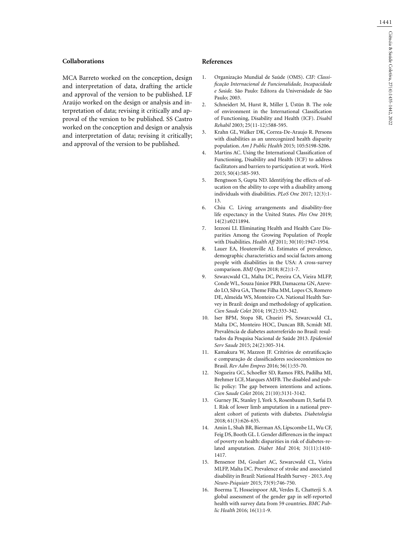#### **Collaborations**

MCA Barreto worked on the conception, design and interpretation of data, drafting the article and approval of the version to be published. LF Araújo worked on the design or analysis and interpretation of data; revising it critically and approval of the version to be published. SS Castro worked on the conception and design or analysis and interpretation of data; revising it critically; and approval of the version to be published.

### **References**

- 1. Organização Mundial de Saúde (OMS). *CIF: Classificação Internacional de Funcionalidade, Incapacidade e Saúde.* São Paulo: Editora da Universidade de São Paulo; 2003.
- 2. Schneidert M, Hurst R, Miller J, Üstün B. The role of environment in the International Classification of Functioning, Disability and Health (ICF). *Disabil Rehabil* 2003; 25(11-12):588-595.
- 3. Krahn GL, Walker DK, Correa-De-Araujo R. Persons with disabilities as an unrecognized health disparity population. *Am J Public Health* 2015; 105:S198-S206.
- 4. Martins AC. Using the International Classification of Functioning, Disability and Health (ICF) to address facilitators and barriers to participation at work. *Work*  2015; 50(4):585-593.
- 5. Bengtsson S, Gupta ND. Identifying the effects of education on the ability to cope with a disability among individuals with disabilities. *PLoS One* 2017; 12(3):1- 13.
- 6. Chiu C. Living arrangements and disability-free life expectancy in the United States. *Plos One* 2019; 14(2):e0211894.
- 7. Iezzoni LI. Eliminating Health and Health Care Disparities Among the Growing Population of People with Disabilities. *Health Aff* 2011; 30(10):1947-1954.
- 8. Lauer EA, Houtenville AJ. Estimates of prevalence, demographic characteristics and social factors among people with disabilities in the USA: A cross-survey comparison. *BMJ Open* 2018; 8(2):1-7.
- 9. Szwarcwald CL, Malta DC, Pereira CA, Vieira MLFP, Conde WL, Souza Júnior PRB, Damacena GN, Azevedo LO, Silva GA, Theme Filha MM, Lopes CS, Romero DE, Almeida WS, Monteiro CA. National Health Survey in Brazil: design and methodology of application. *Cien Saude Colet* 2014; 19(2):333-342.
- 10. Iser BPM, Stopa SR, Chueiri PS, Szwarcwald CL, Malta DC, Monteiro HOC, Duncan BB, Scmidt MI. Prevalência de diabetes autorreferido no Brasil: resultados da Pesquisa Nacional de Saúde 2013. *Epidemiol Serv Saude* 2015; 24(2):305-314.
- 11. Kamakura W, Mazzon JF. Critérios de estratificação e comparação de classificadores socioeconômicos no Brasil. *Rev Adm Empres* 2016; 56(1):55-70.
- 12. Nogueira GC, Schoeller SD, Ramos FRS, Padilha MI, Brehmer LCF, Marques AMFB. The disabled and public policy: The gap between intentions and actions. *Cien Saude Colet* 2016; 21(10):3131-3142.
- 13. Gurney JK, Stanley J, York S, Rosenbaum D, Sarfai D. I. Risk of lower limb amputation in a national prevalent cohort of patients with diabetes. *Diabetologia* 2018; 61(3):626-635.
- 14. Amin L, Shah BR, Bierman AS, Lipscombe LL, Wu CF, Feig DS, Booth GL. I. Gender differences in the impact of poverty on health: disparities in risk of diabetes-related amputation. *Diabet Med* 2014; 31(11):1410- 1417.
- 15. Bensenor IM, Goulart AC, Szwarcwald CL, Vieira MLFP, Malta DC. Prevalence of stroke and associated disability in Brazil: National Health Survey - 2013. *Arq Neuro-Psiquiatr* 2015; 73(9):746-750.
- 16. Boerma T, Hosseinpoor AR, Verdes E, Chatterji S. A global assessment of the gender gap in self-reported health with survey data from 59 countries. *BMC Public Health* 2016; 16(1):1-9.